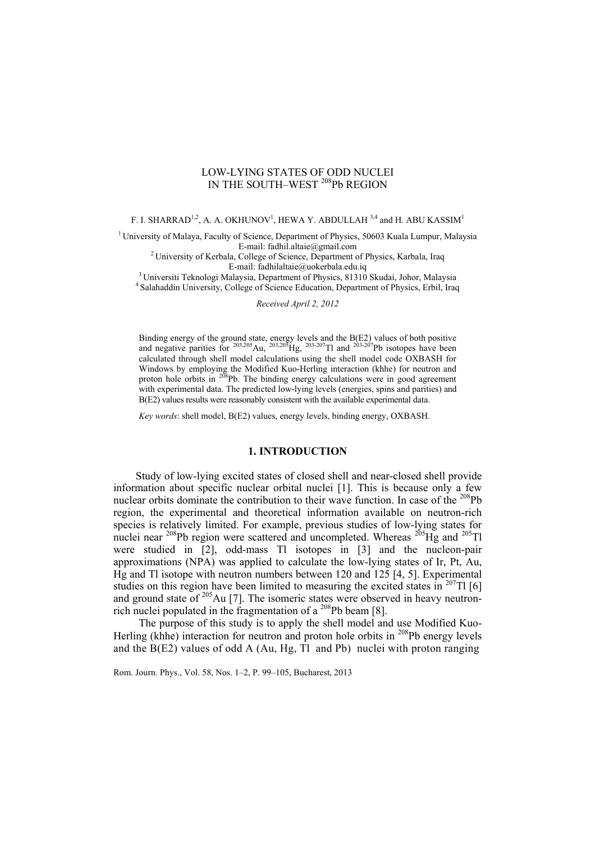# LOW-LYING STATES OF ODD NUCLEI IN THE SOUTH–WEST 208Pb REGION

F. I. SHARRAD $^{1,2}$ , A. A. OKHUNOV $^{1}$ , HEWA Y. ABDULLAH  $^{3,4}$  and H. ABU KASSIM $^{1}$ 

<sup>1</sup> University of Malaya, Faculty of Science, Department of Physics, 50603 Kuala Lumpur, Malaysia E-mail: fadhil.altaie@gmail.com

<sup>2</sup> University of Kerbala, College of Science, Department of Physics, Karbala, Iraq

E-mail: fadhilaltaie@uokerbala.edu.iq<br><sup>3</sup> Universiti Teknologi Malaysia, Department of Physics, 81310 Skudai, Johor, Malaysia<br><sup>4</sup> Salahaddin University, College of Science Education, Department of Physics, Erbil, Iraq

*Received April 2, 2012* 

Binding energy of the ground state, energy levels and the B(E2) values of both positive and negative parities for  $^{203,205}$ Au,  $^{203,205}$ Hg,  $^{203-207}$ Tl and  $^{203-207}$ Pb isotopes have been calculated through shell model calculations using the shell model code OXBASH for Windows by employing the Modified Kuo-Herling interaction (khhe) for neutron and proton hole orbits in  $208$ Pb. The binding energy calculations were in good agreement with experimental data. The predicted low-lying levels (energies, spins and parities) and B(E2) values results were reasonably consistent with the available experimental data.

*Key words*: shell model, B(E2) values, energy levels, binding energy, OXBASH.

#### **1. INTRODUCTION**

Study of low-lying excited states of closed shell and near-closed shell provide information about specific nuclear orbital nuclei [1]. This is because only a few nuclear orbits dominate the contribution to their wave function. In case of the <sup>208</sup>Pb region, the experimental and theoretical information available on neutron-rich species is relatively limited. For example, previous studies of low-lying states for nuclei near <sup>208</sup>Pb region were scattered and uncompleted. Whereas <sup>205</sup>Hg and <sup>205</sup>Tl were studied in [2], odd-mass Tl isotopes in [3] and the nucleon-pair approximations (NPA) was applied to calculate the low-lying states of Ir, Pt, Au, Hg and Tl isotope with neutron numbers between 120 and 125 [4, 5]. Experimental studies on this region have been limited to measuring the excited states in  $^{207}$ Tl [6] and ground state of <sup>205</sup>Au [7]. The isomeric states were observed in heavy neutronrich nuclei populated in the fragmentation of a  $^{208}Pb$  beam [8].

The purpose of this study is to apply the shell model and use Modified Kuo-Herling (khhe) interaction for neutron and proton hole orbits in <sup>208</sup>Pb energy levels and the  $B(E2)$  values of odd A (Au, Hg, Tl and Pb) nuclei with proton ranging

Rom. Journ. Phys., Vol. 58, Nos. 1–2, P. 99–105, Bucharest, 2013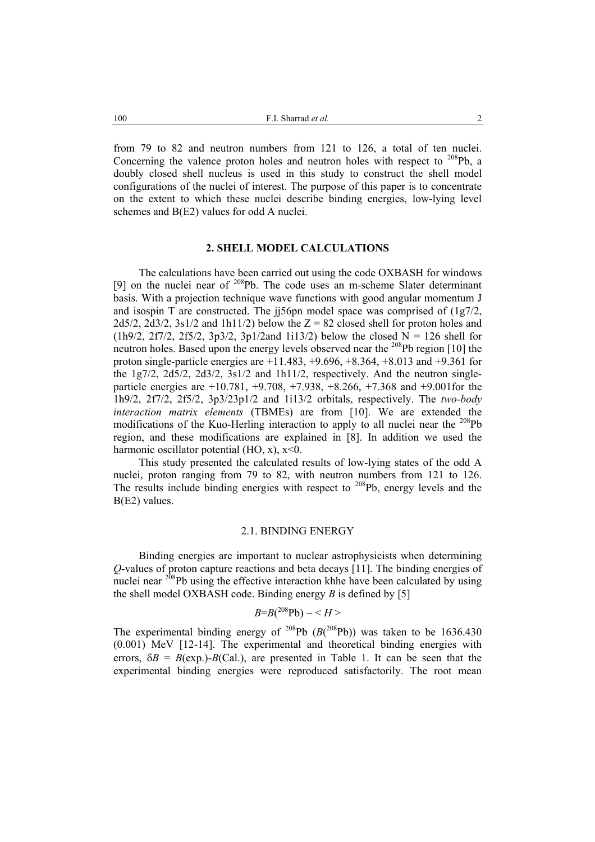from 79 to 82 and neutron numbers from 121 to 126, a total of ten nuclei. Concerning the valence proton holes and neutron holes with respect to  $^{208}Pb$ , a doubly closed shell nucleus is used in this study to construct the shell model configurations of the nuclei of interest. The purpose of this paper is to concentrate on the extent to which these nuclei describe binding energies, low-lying level schemes and B(E2) values for odd A nuclei.

# **2. SHELL MODEL CALCULATIONS**

The calculations have been carried out using the code OXBASH for windows [9] on the nuclei near of  $208$ Pb. The code uses an m-scheme Slater determinant basis. With a projection technique wave functions with good angular momentum J and isospin T are constructed. The ji56pn model space was comprised of  $(1g7/2, 1)$  $2d5/2$ ,  $2d3/2$ ,  $3s1/2$  and  $1h11/2$ ) below the  $Z = 82$  closed shell for proton holes and (1h9/2, 2f7/2, 2f5/2, 3p3/2, 3p1/2and 1i13/2) below the closed  $N = 126$  shell for neutron holes. Based upon the energy levels observed near the <sup>208</sup>Pb region [10] the proton single-particle energies are  $+11.483, +9.696, +8.364, +8.013$  and  $+9.361$  for the 1g7/2, 2d5/2, 2d3/2, 3s1/2 and 1h11/2, respectively. And the neutron singleparticle energies are +10.781, +9.708, +7.938, +8.266, +7.368 and +9.001for the 1h9/2, 2f7/2, 2f5/2, 3p3/23p1/2 and 1i13/2 orbitals, respectively. The *two-body interaction matrix elements* (TBMEs) are from [10]. We are extended the modifications of the Kuo-Herling interaction to apply to all nuclei near the <sup>208</sup>Pb region, and these modifications are explained in [8]. In addition we used the harmonic oscillator potential  $(HO, x)$ ,  $x \le 0$ .

This study presented the calculated results of low-lying states of the odd A nuclei, proton ranging from 79 to 82, with neutron numbers from 121 to 126. The results include binding energies with respect to <sup>208</sup>Pb, energy levels and the B(E2) values.

## 2.1. BINDING ENERGY

Binding energies are important to nuclear astrophysicists when determining *Q*-values of proton capture reactions and beta decays [11]. The binding energies of nuclei near <sup>208</sup>Pb using the effective interaction khhe have been calculated by using the shell model OXBASH code. Binding energy *B* is defined by [5]

$$
B=B(^{208}\text{Pb})-
$$

The experimental binding energy of <sup>208</sup>Pb  $(B(^{208}Pb))$  was taken to be 1636.430 (0.001) MeV [12-14]. The experimental and theoretical binding energies with errors,  $\delta B = B(\exp(-B/Ca))$ , are presented in Table 1. It can be seen that the experimental binding energies were reproduced satisfactorily. The root mean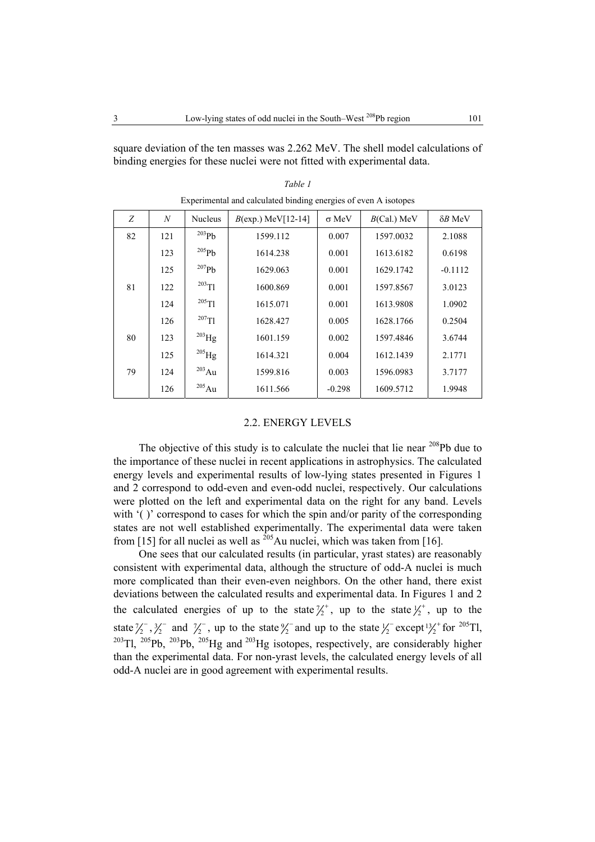square deviation of the ten masses was 2.262 MeV. The shell model calculations of binding energies for these nuclei were not fitted with experimental data.

| Z  | $\boldsymbol{N}$ | <b>Nucleus</b> | $B(exp.)$ MeV[12-14] | $\sigma$ MeV | $B(Cal.)$ MeV | $\delta B$ MeV |
|----|------------------|----------------|----------------------|--------------|---------------|----------------|
| 82 | 121              | $^{203}Pb$     | 1599.112             | 0.007        | 1597.0032     | 2.1088         |
|    | 123              | $^{205}Pb$     | 1614.238             | 0.001        | 1613.6182     | 0.6198         |
|    | 125              | $^{207}Pb$     | 1629.063             | 0.001        | 1629.1742     | $-0.1112$      |
| 81 | 122              | $^{203}$ Tl    | 1600.869             | 0.001        | 1597.8567     | 3.0123         |
|    | 124              | $^{205}$ T1    | 1615.071             | 0.001        | 1613.9808     | 1.0902         |
|    | 126              | $^{207}$ Tl    | 1628.427             | 0.005        | 1628.1766     | 0.2504         |
| 80 | 123              | $^{203}$ Hg    | 1601.159             | 0.002        | 1597.4846     | 3.6744         |
|    | 125              | $^{205}$ Hg    | 1614.321             | 0.004        | 1612.1439     | 2.1771         |
| 79 | 124              | $^{203}$ Au    | 1599.816             | 0.003        | 1596.0983     | 3.7177         |
|    | 126              | $^{205}$ Au    | 1611.566             | $-0.298$     | 1609.5712     | 1.9948         |
|    |                  |                |                      |              |               |                |

*Table 1*  Experimental and calculated binding energies of even A isotopes

#### 2.2. ENERGY LEVELS

The objective of this study is to calculate the nuclei that lie near <sup>208</sup>Pb due to the importance of these nuclei in recent applications in astrophysics. The calculated energy levels and experimental results of low-lying states presented in Figures 1 and 2 correspond to odd-even and even-odd nuclei, respectively. Our calculations were plotted on the left and experimental data on the right for any band. Levels with '( )' correspond to cases for which the spin and/or parity of the corresponding states are not well established experimentally. The experimental data were taken from [15] for all nuclei as well as  $^{205}$ Au nuclei, which was taken from [16].

One sees that our calculated results (in particular, yrast states) are reasonably consistent with experimental data, although the structure of odd-A nuclei is much more complicated than their even-even neighbors. On the other hand, there exist deviations between the calculated results and experimental data. In Figures 1 and 2 the calculated energies of up to the state  $\frac{\gamma}{2}$ , up to the state  $\frac{\gamma}{2}$ , up to the state  $\frac{7}{2}$ ,  $\frac{3}{2}$  and  $\frac{7}{2}$ , up to the state  $\frac{9}{2}$  and up to the state  $\frac{1}{2}$  except  $\frac{13}{2}$  for  $\frac{205}{11}$ ,  $^{203}$ Tl,  $^{205}$ Pb,  $^{203}$ Pb,  $^{205}$ Hg and  $^{203}$ Hg isotopes, respectively, are considerably higher than the experimental data. For non-yrast levels, the calculated energy levels of all odd-A nuclei are in good agreement with experimental results.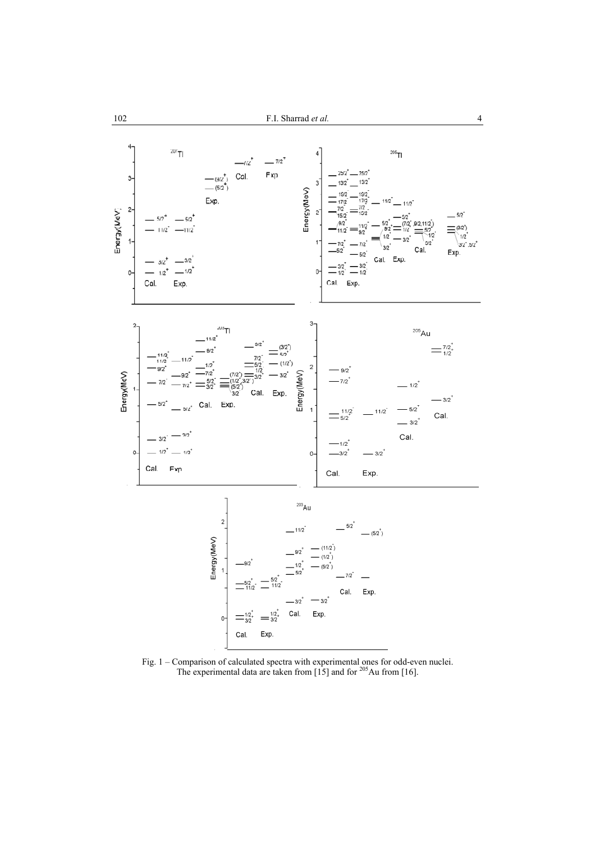

 Fig. 1 – Comparison of calculated spectra with experimental ones for odd-even nuclei. The experimental data are taken from [15] and for  $205$  Au from [16].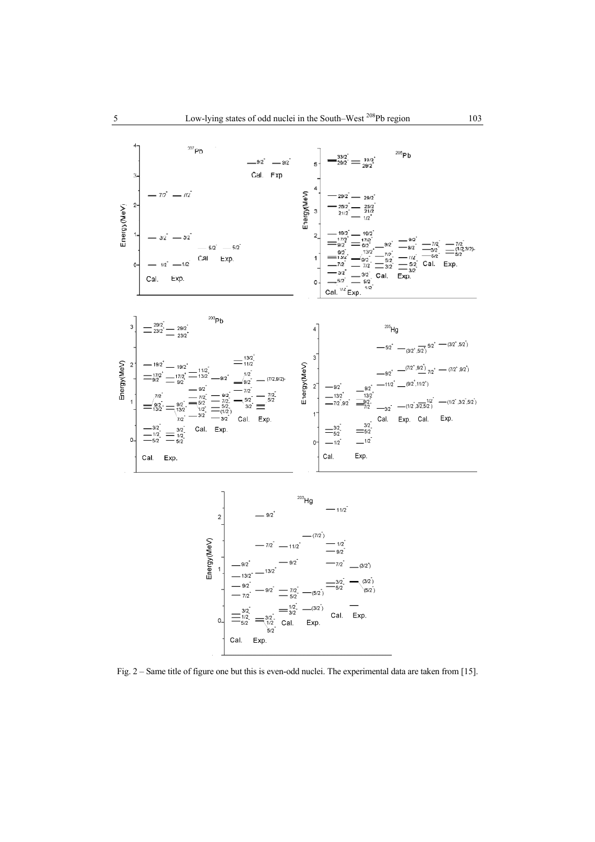

Fig. 2 – Same title of figure one but this is even-odd nuclei. The experimental data are taken from [15].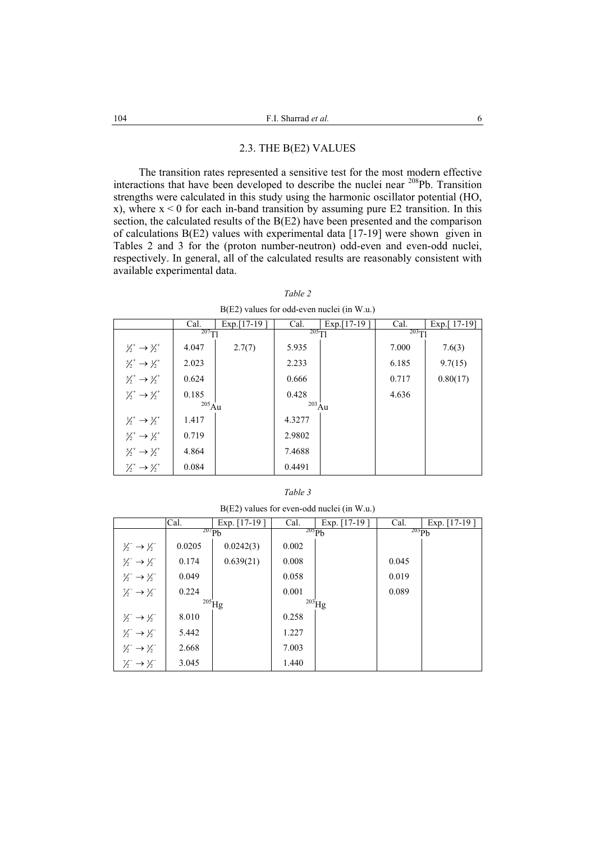## 2.3. THE B(E2) VALUES

The transition rates represented a sensitive test for the most modern effective interactions that have been developed to describe the nuclei near 208Pb. Transition strengths were calculated in this study using the harmonic oscillator potential (HO, x), where  $x < 0$  for each in-band transition by assuming pure E2 transition. In this section, the calculated results of the B(E2) have been presented and the comparison of calculations B(E2) values with experimental data [17-19] were shown given in Tables 2 and 3 for the (proton number-neutron) odd-even and even-odd nuclei, respectively. In general, all of the calculated results are reasonably consistent with available experimental data.

## *Table 2*

B(E2) values for odd-even nuclei (in W.u.)

|                                               | Cal.        | $Exp.[17-19]$ | Cal.        | Exp. $[17-19]$ | Cal.       | Exp.[ $17-19$ ] |
|-----------------------------------------------|-------------|---------------|-------------|----------------|------------|-----------------|
|                                               | $^{207}$ TJ |               | $^{205}$ TJ |                | $^{203}T1$ |                 |
| $\frac{1}{2}$ $\rightarrow$ $\frac{3}{2}$     | 4.047       | 2.7(7)        | 5.935       |                | 7.000      | 7.6(3)          |
| $\frac{5}{2}^+$ $\rightarrow$ $\frac{1}{2}^+$ | 2.023       |               | 2.233       |                | 6.185      | 9.7(15)         |
| $\frac{5}{2}^+$ $\rightarrow$ $\frac{3}{2}^+$ | 0.624       |               | 0.666       |                | 0.717      | 0.80(17)        |
| $\frac{1}{2}$ $\rightarrow$ $\frac{5}{2}$     | 0.185       |               | 0.428       |                | 4.636      |                 |
|                                               | $^{205}$ Au |               | $^{203}$ Au |                |            |                 |
| $\frac{1}{2}$ $\rightarrow$ $\frac{3}{2}$     | 1.417       |               | 4.3277      |                |            |                 |
| $\frac{5}{2}$ $\rightarrow$ $\frac{1}{2}$     | 0.719       |               | 2.9802      |                |            |                 |
| $\frac{5}{2}^+$ $\rightarrow$ $\frac{3}{2}^+$ | 4.864       |               | 7.4688      |                |            |                 |
| $\frac{1}{2} \rightarrow \frac{5}{2}$         | 0.084       |               | 0.4491      |                |            |                 |

| ., |  |
|----|--|
|----|--|

B(E2) values for even-odd nuclei (in W.u.)

|                                               | Cal.              | Exp. $[17-19]$ | Cal.        | Exp. $[17-19]$ | Cal.       | Exp. $[17-19]$ |
|-----------------------------------------------|-------------------|----------------|-------------|----------------|------------|----------------|
|                                               | 207Pb             |                | $^{205}Pb$  |                | $^{203}Pb$ |                |
| $\frac{3}{2}$ $\rightarrow$ $\frac{1}{2}$     | 0.0205            | 0.0242(3)      | 0.002       |                |            |                |
| $\frac{5}{2}^{-} \rightarrow \frac{1}{2}^{-}$ | 0.174             | 0.639(21)      | 0.008       |                | 0.045      |                |
| $\frac{5}{2} \rightarrow \frac{3}{2}$         | 0.049             |                | 0.058       |                | 0.019      |                |
| $\frac{1}{2}$ $\rightarrow$ $\frac{3}{2}$     | 0.224             |                | 0.001       |                | 0.089      |                |
|                                               | $^{205}\!\rm{Hg}$ |                | $^{203}$ Hg |                |            |                |
| $\frac{3}{2} \rightarrow \frac{1}{2}$         | 8.010             |                | 0.258       |                |            |                |
| $\frac{5}{2}$ $\rightarrow$ $\frac{1}{2}$     | 5.442             |                | 1.227       |                |            |                |
| $\frac{5}{2}$ $\rightarrow$ $\frac{3}{2}$     | 2.668             |                | 7.003       |                |            |                |
| $\frac{1}{2}$ $\rightarrow$ $\frac{3}{2}$     | 3.045             |                | 1.440       |                |            |                |